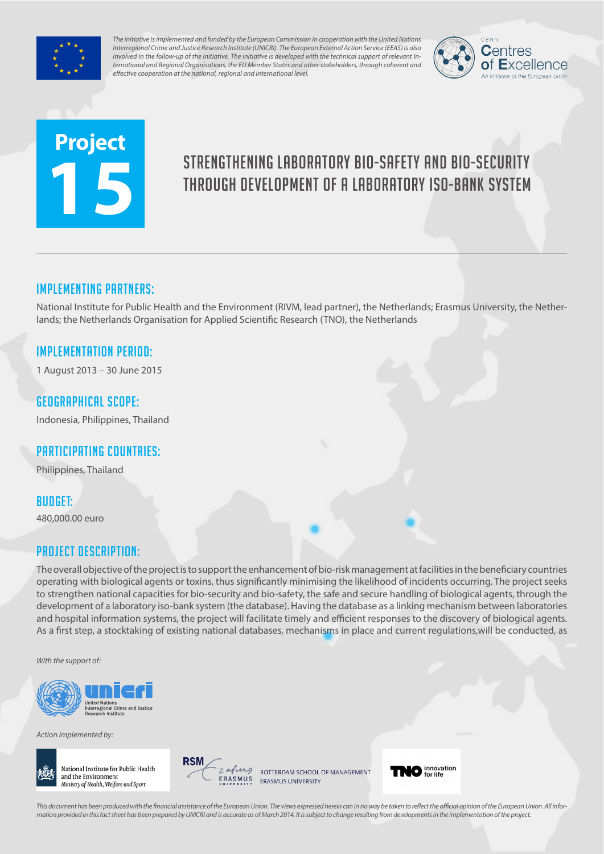

*The initiative is implemented and funded by the European Commission in cooperation with the United Nations Interregional Crime and Justice Research Institute (UNICRI). The European External Action Service (EEAS) is also involved in the follow-up of the initiative. The initiative is developed with the technical support of relevant International and Regional Organisations, the EU Member States and other stakeholders, through coherent and effective cooperation at the national, regional and international level.*



# **Project 15**

# Strengthening laboratory bio-safety and bio-security through development of a laboratory iso-bank system

# Implementing partners:

National Institute for Public Health and the Environment (RIVM, lead partner), the Netherlands; Erasmus University, the Netherlands; the Netherlands Organisation for Applied Scientific Research (TNO), the Netherlands

### Implementation Period:

1 August 2013 – 30 June 2015

#### Geographical scope:

Indonesia, Philippines, Thailand

# Participating countries:

Philippines, Thailand

# Budget:

480,000.00 euro

#### Project Description:

The overall objective of the project is to support the enhancement of bio-risk management at facilities in the beneficiary countries operating with biological agents or toxins, thus significantly minimising the likelihood of incidents occurring. The project seeks to strengthen national capacities for bio-security and bio-safety, the safe and secure handling of biological agents, through the development of a laboratory iso-bank system (the database). Having the database as a linking mechanism between laboratories and hospital information systems, the project will facilitate timely and efficient responses to the discovery of biological agents. As a first step, a stocktaking of existing national databases, mechanisms in place and current regulations,will be conducted, as

*With the support of:*



*Action implemented by:*





ROTTERDAM SCHOOL OF MANAGEMENT ERASMUS UNIVERSITY



*This document has been produced with the financial assistance of the European Union. The views expressed herein can in no way be taken to reflect the official opinion of the European Union. All information provided in this fact sheet has been prepared by UNICRI and is accurate as of March 2014. It is subject to change resulting from developments in the implementation of the project.*